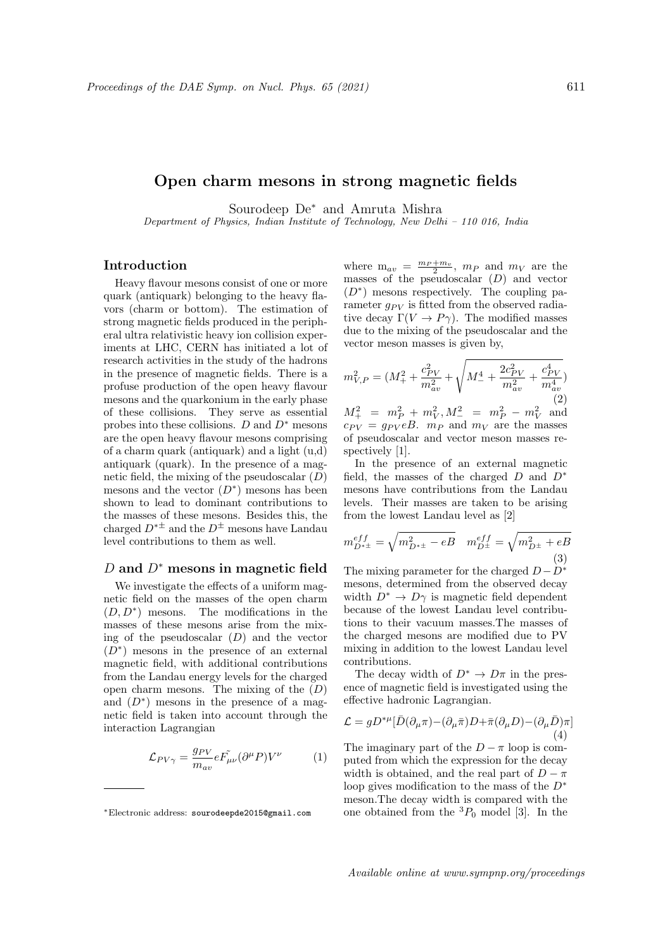## Open charm mesons in strong magnetic fields

Sourodeep De<sup>∗</sup> and Amruta Mishra

Department of Physics, Indian Institute of Technology, New Delhi – 110 016, India

## Introduction

Heavy flavour mesons consist of one or more quark (antiquark) belonging to the heavy flavors (charm or bottom). The estimation of strong magnetic fields produced in the peripheral ultra relativistic heavy ion collision experiments at LHC, CERN has initiated a lot of research activities in the study of the hadrons in the presence of magnetic fields. There is a profuse production of the open heavy flavour mesons and the quarkonium in the early phase of these collisions. They serve as essential probes into these collisions.  $D$  and  $D^*$  mesons are the open heavy flavour mesons comprising of a charm quark (antiquark) and a light (u,d) antiquark (quark). In the presence of a magnetic field, the mixing of the pseudoscalar  $(D)$ mesons and the vector  $(D^*)$  mesons has been shown to lead to dominant contributions to the masses of these mesons. Besides this, the charged  $D^{*\pm}$  and the  $D^{\pm}$  mesons have Landau level contributions to them as well.

## D and  $D^*$  mesons in magnetic field

We investigate the effects of a uniform magnetic field on the masses of the open charm  $(D, D^*)$  mesons. The modifications in the masses of these mesons arise from the mixing of the pseudoscalar  $(D)$  and the vector  $(D^*)$  mesons in the presence of an external magnetic field, with additional contributions from the Landau energy levels for the charged open charm mesons. The mixing of the  $(D)$ and  $(D^*)$  mesons in the presence of a magnetic field is taken into account through the interaction Lagrangian

$$
\mathcal{L}_{PV\gamma} = \frac{g_{PV}}{m_{av}} e \tilde{F_{\mu\nu}} (\partial^{\mu} P) V^{\nu} \tag{1}
$$

where  $m_{av} = \frac{m_P + m_v}{2}$ ,  $m_P$  and  $m_V$  are the masses of the pseudoscalar  $(D)$  and vector  $(D^*)$  mesons respectively. The coupling parameter  $q_{PV}$  is fitted from the observed radiative decay  $\Gamma(V \to P\gamma)$ . The modified masses due to the mixing of the pseudoscalar and the vector meson masses is given by,

$$
m_{V,P}^{2} = (M_{+}^{2} + \frac{c_{PV}^{2}}{m_{av}^{2}} + \sqrt{M_{-}^{4} + \frac{2c_{PV}^{2}}{m_{av}^{2}} + \frac{c_{PV}^{4}}{m_{av}^{4}}})
$$
  

$$
M_{-}^{2} = m_{+}^{2} + m_{-}^{2}, M_{-}^{2} = m_{-}^{2} - m_{-}^{2}
$$

 $M_+^2 = m_P^2 + m_V^2, M_-^2 = m_I^2$  $\frac{2}{P}$  –  $m_V^2$  and  $c_{PV} = g_{PV} eB$ .  $m_P$  and  $m_V$  are the masses of pseudoscalar and vector meson masses respectively [1].

In the presence of an external magnetic field, the masses of the charged  $D$  and  $D^*$ mesons have contributions from the Landau levels. Their masses are taken to be arising from the lowest Landau level as [2]

$$
m_{D^{*\pm}}^{eff} = \sqrt{m_{D^{*\pm}}^2 - eB} \quad m_{D^{\pm}}^{eff} = \sqrt{m_{D^{\pm}}^2 + eB}
$$
\n(3)

The mixing parameter for the charged  $D-D^*$ mesons, determined from the observed decay width  $D^* \to D\gamma$  is magnetic field dependent because of the lowest Landau level contributions to their vacuum masses.The masses of the charged mesons are modified due to PV mixing in addition to the lowest Landau level contributions.

The decay width of  $D^* \to D\pi$  in the presence of magnetic field is investigated using the effective hadronic Lagrangian.

$$
\mathcal{L} = g D^{*\mu} [\bar{D}(\partial_{\mu}\pi) - (\partial_{\mu}\bar{\pi})D + \bar{\pi}(\partial_{\mu}D) - (\partial_{\mu}\bar{D})\pi]
$$
\n(4)

The imaginary part of the  $D - \pi$  loop is computed from which the expression for the decay width is obtained, and the real part of  $D - \pi$ loop gives modification to the mass of the  $D^*$ meson.The decay width is compared with the one obtained from the  ${}^{3}P_0$  model [3]. In the

<sup>∗</sup>Electronic address: sourodeepde2015@gmail.com